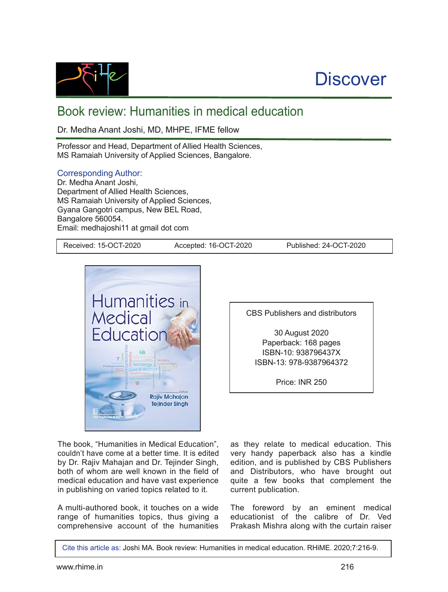

## **Discover**

## Book review: Humanities in medical education

Dr. Medha Anant Joshi, MD, MHPE, IFME fellow

Professor and Head, Department of Allied Health Sciences, MS Ramaiah University of Applied Sciences, Bangalore.

## Corresponding Author:

Dr. Medha Anant Joshi, Department of Allied Health Sciences, MS Ramaiah University of Applied Sciences, Gyana Gangotri campus, New BEL Road, Bangalore 560054. Email: medhajoshi11 at gmail dot com

Received: 15-OCT-2020 Accepted: 16-OCT-2020 Published: 24-OCT-2020



The book, "Humanities in Medical Education", couldn't have come at a better time. It is edited by Dr. Rajiv Mahajan and Dr. Tejinder Singh, both of whom are well known in the field of medical education and have vast experience in publishing on varied topics related to it.

A multi-authored book, it touches on a wide range of humanities topics, thus giving a comprehensive account of the humanities

CBS Publishers and distributors

30 August 2020 Paperback: 168 pages ISBN10: 938796437X ISBN-13: 978-9387964372

Price: INR 250

as they relate to medical education. This very handy paperback also has a kindle edition, and is published by CBS Publishers and Distributors, who have brought out quite a few books that complement the current publication.

The foreword by an eminent medical educationist of the calibre of Dr. Ved Prakash Mishra along with the curtain raiser

Cite this article as: Joshi MA. Book review: Humanities in medical education. RHiME. 2020;7:2169.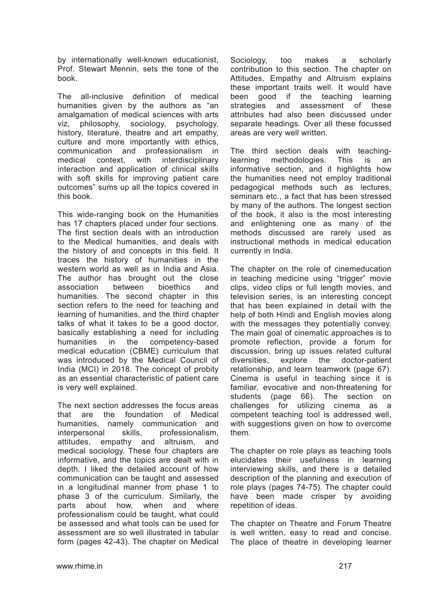by internationally well-known educationist, Prof. Stewart Mennin, sets the tone of the book.

The all-inclusive definition of medical humanities given by the authors as "an amalgamation of medical sciences with arts viz, philosophy, sociology, psychology, history, literature, theatre and art empathy, culture and more importantly with ethics, communication and professionalism in medical context, with interdisciplinary interaction and application of clinical skills with soft skills for improving patient care outcomes" sums up all the topics covered in this book.

This wide-ranging book on the Humanities has 17 chapters placed under four sections. The first section deals with an introduction to the Medical humanities, and deals with the history of and concepts in this field. It traces the history of humanities in the western world as well as in India and Asia. The author has brought out the close association between bioethics and humanities. The second chapter in this section refers to the need for teaching and learning of humanities, and the third chapter talks of what it takes to be a good doctor, basically establishing a need for including humanities in the competency-based medical education (CBME) curriculum that was introduced by the Medical Council of India (MCI) in 2018. The concept of probity as an essential characteristic of patient care is very well explained.

The next section addresses the focus areas that are the foundation of Medical humanities, namely communication and interpersonal skills, professionalism, attitudes, empathy and altruism, and medical sociology. These four chapters are informative, and the topics are dealt with in depth. I liked the detailed account of how communication can be taught and assessed in a longitudinal manner from phase 1 to phase 3 of the curriculum. Similarly, the parts about how, when and where professionalism could be taught, what could be assessed and what tools can be used for assessment are so well illustrated in tabular form (pages 42-43). The chapter on Medical Sociology, too makes a scholarly contribution to this section. The chapter on Attitudes, Empathy and Altruism explains these important traits well. It would have been good if the teaching learning strategies and assessment of these attributes had also been discussed under separate headings. Over all these focussed areas are very well written.

The third section deals with teachinglearning methodologies. This is an informative section, and it highlights how the humanities need not employ traditional pedagogical methods such as lectures, seminars etc., a fact that has been stressed by many of the authors. The longest section of the book, it also is the most interesting and enlightening one as many of the methods discussed are rarely used as instructional methods in medical education currently in India.

The chapter on the role of cinemeducation in teaching medicine using "trigger" movie clips, video clips or full length movies, and television series, is an interesting concept that has been explained in detail with the help of both Hindi and English movies along with the messages they potentially convey. The main goal of cinematic approaches is to promote reflection, provide a forum for discussion, bring up issues related cultural diversities, explore the doctor-patient relationship, and learn teamwork (page 67). Cinema is useful in teaching since it is familiar, evocative and non-threatening for students (page 66). The section on challenges for utilizing cinema as a competent teaching tool is addressed well, with suggestions given on how to overcome them.

The chapter on role plays as teaching tools elucidates their usefulness in learning interviewing skills, and there is a detailed description of the planning and execution of role plays (pages 74-75). The chapter could have been made crisper by avoiding repetition of ideas.

The chapter on Theatre and Forum Theatre is well written, easy to read and concise. The place of theatre in developing learner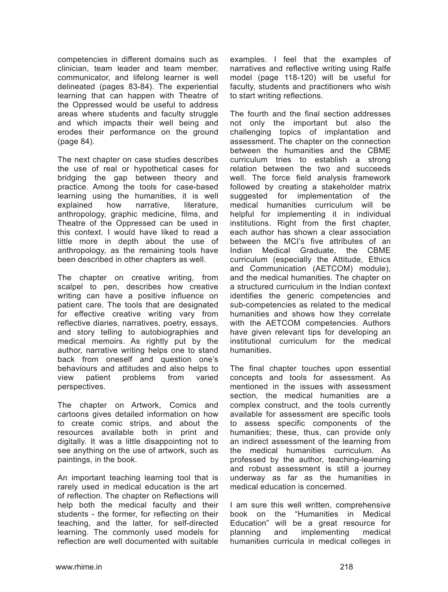competencies in different domains such as clinician, team leader and team member, communicator, and lifelong learner is well delineated (pages 83-84). The experiential learning that can happen with Theatre of the Oppressed would be useful to address areas where students and faculty struggle and which impacts their well being and erodes their performance on the ground (page 84).

The next chapter on case studies describes the use of real or hypothetical cases for bridging the gap between theory and practice. Among the tools for case-based learning using the humanities, it is well explained how narrative, literature, anthropology, graphic medicine, films, and Theatre of the Oppressed can be used in this context. I would have liked to read a little more in depth about the use of anthropology, as the remaining tools have been described in other chapters as well.

The chapter on creative writing, from scalpel to pen, describes how creative writing can have a positive influence on patient care. The tools that are designated for effective creative writing vary from reflective diaries, narratives, poetry, essays, and story telling to autobiographies and medical memoirs. As rightly put by the author, narrative writing helps one to stand back from oneself and question one's behaviours and attitudes and also helps to view patient problems from varied perspectives.

The chapter on Artwork, Comics and cartoons gives detailed information on how to create comic strips, and about the resources available both in print and digitally. It was a little disappointing not to see anything on the use of artwork, such as paintings, in the book.

An important teaching learning tool that is rarely used in medical education is the art of reflection. The chapter on Reflections will help both the medical faculty and their students - the former, for reflecting on their teaching, and the latter, for self-directed learning. The commonly used models for reflection are well documented with suitable

examples. I feel that the examples of narratives and reflective writing using Ralfe model (page 118-120) will be useful for faculty, students and practitioners who wish to start writing reflections.

The fourth and the final section addresses not only the important but also the challenging topics of implantation and assessment. The chapter on the connection between the humanities and the CBME curriculum tries to establish a strong relation between the two and succeeds well. The force field analysis framework followed by creating a stakeholder matrix suggested for implementation of the medical humanities curriculum will be helpful for implementing it in individual institutions. Right from the first chapter, each author has shown a clear association between the MCI's five attributes of an Indian Medical Graduate, the CBME curriculum (especially the Attitude, Ethics and Communication (AETCOM) module), and the medical humanities. The chapter on a structured curriculum in the Indian context identifies the generic competencies and sub-competencies as related to the medical humanities and shows how they correlate with the AETCOM competencies. Authors have given relevant tips for developing an institutional curriculum for the medical humanities.

The final chapter touches upon essential concepts and tools for assessment. As mentioned in the issues with assessment section, the medical humanities are a complex construct, and the tools currently available for assessment are specific tools to assess specific components of the humanities; these, thus, can provide only an indirect assessment of the learning from the medical humanities curriculum. As professed by the author, teaching-learning and robust assessment is still a journey underway as far as the humanities in medical education is concerned.

I am sure this well written, comprehensive book on the "Humanities in Medical Education" will be a great resource for planning and implementing medical humanities curricula in medical colleges in